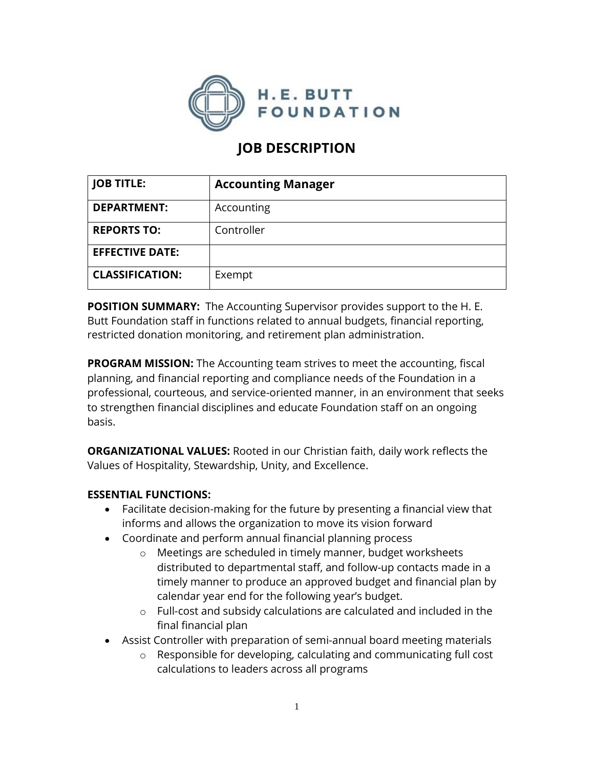

# **JOB DESCRIPTION**

| <b>JOB TITLE:</b>      | <b>Accounting Manager</b> |
|------------------------|---------------------------|
| <b>DEPARTMENT:</b>     | Accounting                |
| <b>REPORTS TO:</b>     | Controller                |
| <b>EFFECTIVE DATE:</b> |                           |
| <b>CLASSIFICATION:</b> | Exempt                    |

**POSITION SUMMARY:** The Accounting Supervisor provides support to the H. E. Butt Foundation staff in functions related to annual budgets, financial reporting, restricted donation monitoring, and retirement plan administration.

**PROGRAM MISSION:** The Accounting team strives to meet the accounting, fiscal planning, and financial reporting and compliance needs of the Foundation in a professional, courteous, and service-oriented manner, in an environment that seeks to strengthen financial disciplines and educate Foundation staff on an ongoing basis.

**ORGANIZATIONAL VALUES:** Rooted in our Christian faith, daily work reflects the Values of Hospitality, Stewardship, Unity, and Excellence.

#### **ESSENTIAL FUNCTIONS:**

- Facilitate decision-making for the future by presenting a financial view that informs and allows the organization to move its vision forward
- Coordinate and perform annual financial planning process
	- o Meetings are scheduled in timely manner, budget worksheets distributed to departmental staff, and follow-up contacts made in a timely manner to produce an approved budget and financial plan by calendar year end for the following year's budget.
	- o Full-cost and subsidy calculations are calculated and included in the final financial plan
- Assist Controller with preparation of semi-annual board meeting materials
	- o Responsible for developing, calculating and communicating full cost calculations to leaders across all programs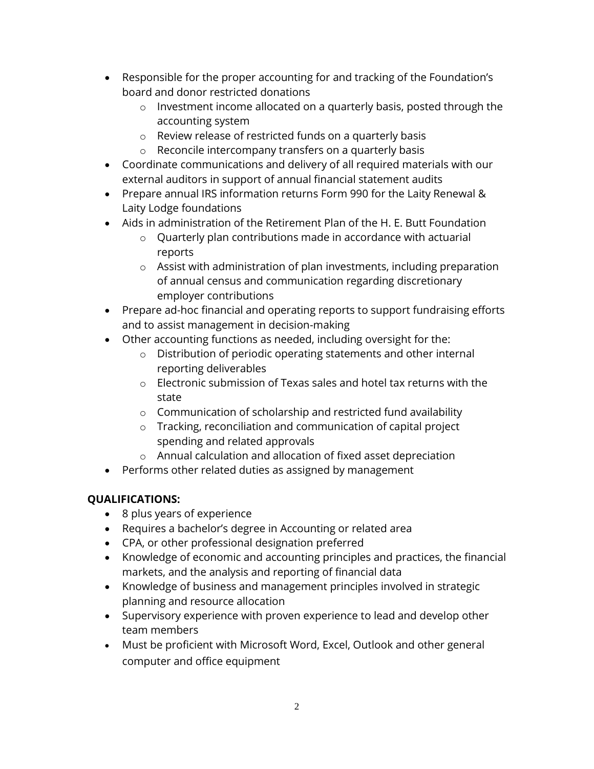- Responsible for the proper accounting for and tracking of the Foundation's board and donor restricted donations
	- o Investment income allocated on a quarterly basis, posted through the accounting system
	- o Review release of restricted funds on a quarterly basis
	- o Reconcile intercompany transfers on a quarterly basis
- Coordinate communications and delivery of all required materials with our external auditors in support of annual financial statement audits
- Prepare annual IRS information returns Form 990 for the Laity Renewal & Laity Lodge foundations
- Aids in administration of the Retirement Plan of the H. E. Butt Foundation
	- $\circ$  Quarterly plan contributions made in accordance with actuarial reports
	- o Assist with administration of plan investments, including preparation of annual census and communication regarding discretionary employer contributions
- Prepare ad-hoc financial and operating reports to support fundraising efforts and to assist management in decision-making
- Other accounting functions as needed, including oversight for the:
	- o Distribution of periodic operating statements and other internal reporting deliverables
	- $\circ$  Electronic submission of Texas sales and hotel tax returns with the state
	- o Communication of scholarship and restricted fund availability
	- o Tracking, reconciliation and communication of capital project spending and related approvals
	- o Annual calculation and allocation of fixed asset depreciation
- Performs other related duties as assigned by management

## **QUALIFICATIONS:**

- 8 plus years of experience
- Requires a bachelor's degree in Accounting or related area
- CPA, or other professional designation preferred
- Knowledge of economic and accounting principles and practices, the financial markets, and the analysis and reporting of financial data
- Knowledge of business and management principles involved in strategic planning and resource allocation
- Supervisory experience with proven experience to lead and develop other team members
- Must be proficient with Microsoft Word, Excel, Outlook and other general computer and office equipment